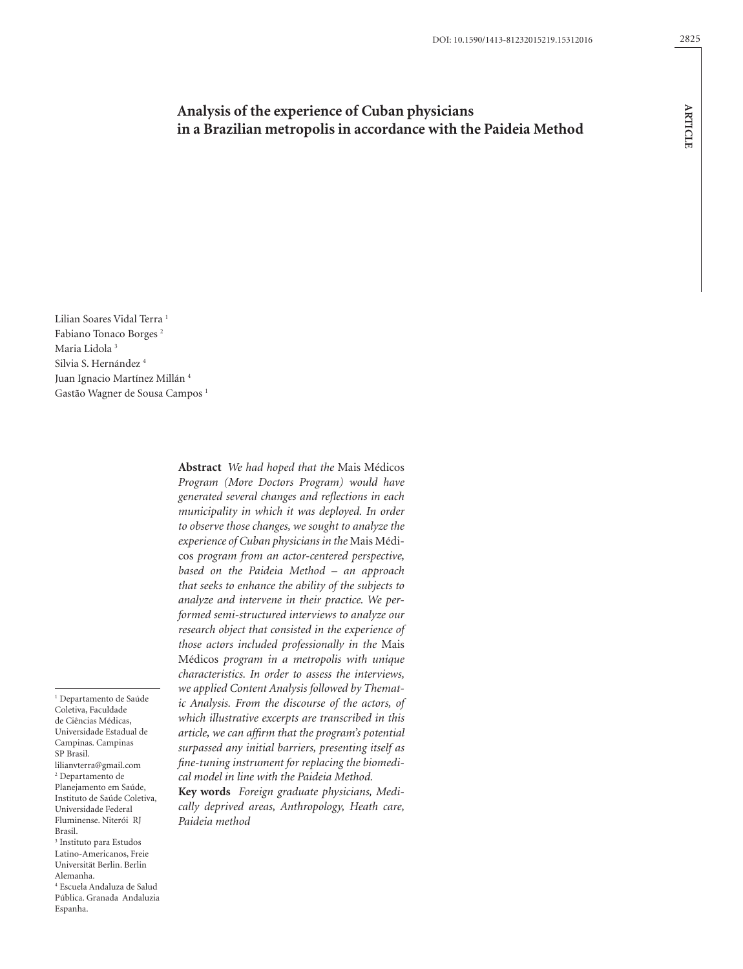# **Analysis of the experience of Cuban physicians in a Brazilian metropolis in accordance with the Paideia Method**

Lilian Soares Vidal Terra<sup>1</sup> Fabiano Tonaco Borges 2 Maria Lidola<sup>3</sup> Silvia S. Hernández 4 Juan Ignacio Martínez Millán 4 Gastão Wagner de Sousa Campos 1

> **Abstract** *We had hoped that the* Mais Médicos *Program (More Doctors Program) would have generated several changes and reflections in each municipality in which it was deployed. In order to observe those changes, we sought to analyze the experience of Cuban physicians in the* Mais Médicos *program from an actor-centered perspective, based on the Paideia Method – an approach that seeks to enhance the ability of the subjects to analyze and intervene in their practice. We performed semi-structured interviews to analyze our research object that consisted in the experience of those actors included professionally in the* Mais Médicos *program in a metropolis with unique characteristics. In order to assess the interviews, we applied Content Analysis followed by Thematic Analysis. From the discourse of the actors, of which illustrative excerpts are transcribed in this article, we can affirm that the program's potential surpassed any initial barriers, presenting itself as fine-tuning instrument for replacing the biomedical model in line with the Paideia Method.*

**Key words** *Foreign graduate physicians, Medically deprived areas, Anthropology, Heath care, Paideia method*

1 Departamento de Saúde Coletiva, Faculdade de Ciências Médicas, Universidade Estadual de Campinas. Campinas SP Brasil. lilianvterra@gmail.com 2 Departamento de Planejamento em Saúde, Instituto de Saúde Coletiva, Universidade Federal Fluminense. Niterói RJ Brasil. 3 Instituto para Estudos

Latino-Americanos, Freie Universität Berlin. Berlin Alemanha. 4 Escuela Andaluza de Salud Pública. Granada Andaluzia

Espanha.

**ARTICLE**

**ARTICLE**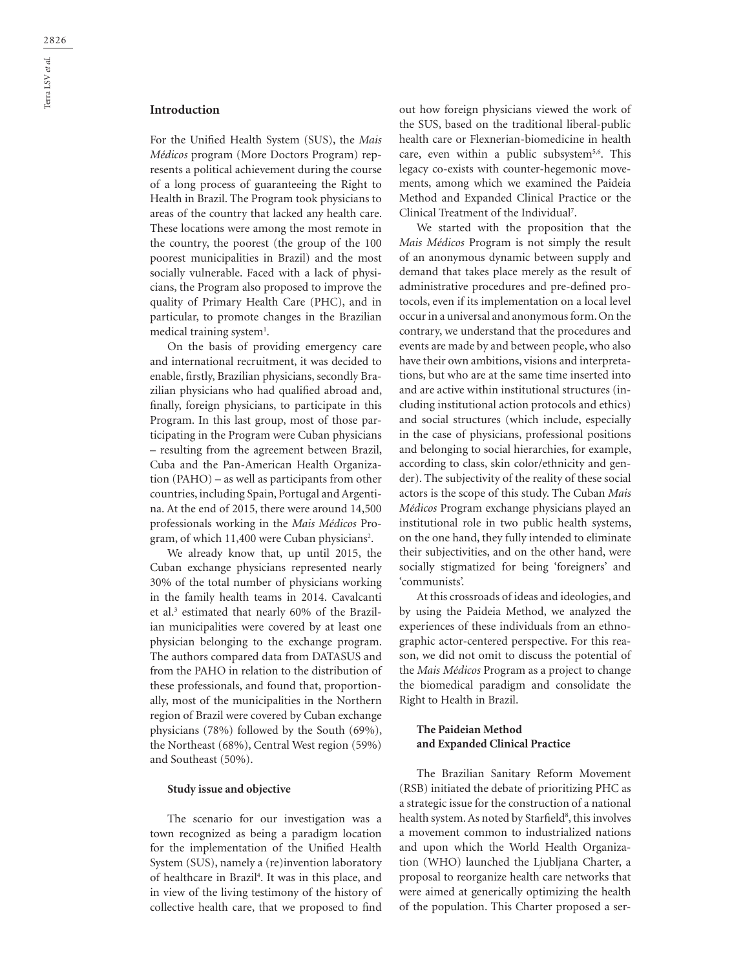# **Introduction**

For the Unified Health System (SUS), the *Mais Médicos* program (More Doctors Program) represents a political achievement during the course of a long process of guaranteeing the Right to Health in Brazil. The Program took physicians to areas of the country that lacked any health care. These locations were among the most remote in the country, the poorest (the group of the 100 poorest municipalities in Brazil) and the most socially vulnerable. Faced with a lack of physicians, the Program also proposed to improve the quality of Primary Health Care (PHC), and in particular, to promote changes in the Brazilian medical training system $^1$ .

On the basis of providing emergency care and international recruitment, it was decided to enable, firstly, Brazilian physicians, secondly Brazilian physicians who had qualified abroad and, finally, foreign physicians, to participate in this Program. In this last group, most of those participating in the Program were Cuban physicians – resulting from the agreement between Brazil, Cuba and the Pan-American Health Organization (PAHO) – as well as participants from other countries, including Spain, Portugal and Argentina. At the end of 2015, there were around 14,500 professionals working in the *Mais Médicos* Program, of which 11,400 were Cuban physicians<sup>2</sup>.

We already know that, up until 2015, the Cuban exchange physicians represented nearly 30% of the total number of physicians working in the family health teams in 2014. Cavalcanti et al.3 estimated that nearly 60% of the Brazilian municipalities were covered by at least one physician belonging to the exchange program. The authors compared data from DATASUS and from the PAHO in relation to the distribution of these professionals, and found that, proportionally, most of the municipalities in the Northern region of Brazil were covered by Cuban exchange physicians (78%) followed by the South (69%), the Northeast (68%), Central West region (59%) and Southeast (50%).

## **Study issue and objective**

The scenario for our investigation was a town recognized as being a paradigm location for the implementation of the Unified Health System (SUS), namely a (re)invention laboratory of healthcare in Brazil<sup>4</sup>. It was in this place, and in view of the living testimony of the history of collective health care, that we proposed to find

out how foreign physicians viewed the work of the SUS, based on the traditional liberal-public health care or Flexnerian-biomedicine in health care, even within a public subsystem<sup>5,6</sup>. This legacy co-exists with counter-hegemonic movements, among which we examined the Paideia Method and Expanded Clinical Practice or the Clinical Treatment of the Individual<sup>7</sup>.

We started with the proposition that the *Mais Médicos* Program is not simply the result of an anonymous dynamic between supply and demand that takes place merely as the result of administrative procedures and pre-defined protocols, even if its implementation on a local level occur in a universal and anonymous form. On the contrary, we understand that the procedures and events are made by and between people, who also have their own ambitions, visions and interpretations, but who are at the same time inserted into and are active within institutional structures (including institutional action protocols and ethics) and social structures (which include, especially in the case of physicians, professional positions and belonging to social hierarchies, for example, according to class, skin color/ethnicity and gender). The subjectivity of the reality of these social actors is the scope of this study. The Cuban *Mais Médicos* Program exchange physicians played an institutional role in two public health systems, on the one hand, they fully intended to eliminate their subjectivities, and on the other hand, were socially stigmatized for being 'foreigners' and 'communists'.

At this crossroads of ideas and ideologies, and by using the Paideia Method, we analyzed the experiences of these individuals from an ethnographic actor-centered perspective. For this reason, we did not omit to discuss the potential of the *Mais Médicos* Program as a project to change the biomedical paradigm and consolidate the Right to Health in Brazil.

# **The Paideian Method and Expanded Clinical Practice**

The Brazilian Sanitary Reform Movement (RSB) initiated the debate of prioritizing PHC as a strategic issue for the construction of a national health system. As noted by Starfield<sup>8</sup>, this involves a movement common to industrialized nations and upon which the World Health Organization (WHO) launched the Ljubljana Charter, a proposal to reorganize health care networks that were aimed at generically optimizing the health of the population. This Charter proposed a ser-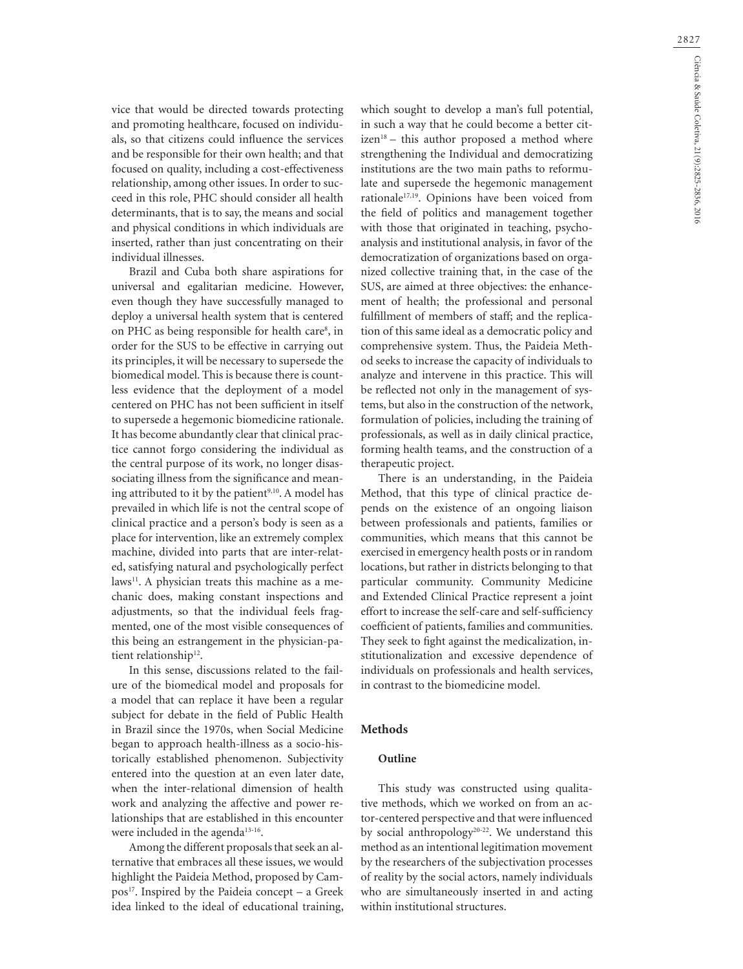2827

vice that would be directed towards protecting and promoting healthcare, focused on individuals, so that citizens could influence the services and be responsible for their own health; and that focused on quality, including a cost-effectiveness relationship, among other issues. In order to succeed in this role, PHC should consider all health determinants, that is to say, the means and social and physical conditions in which individuals are inserted, rather than just concentrating on their individual illnesses.

Brazil and Cuba both share aspirations for universal and egalitarian medicine. However, even though they have successfully managed to deploy a universal health system that is centered on PHC as being responsible for health care<sup>8</sup>, in order for the SUS to be effective in carrying out its principles, it will be necessary to supersede the biomedical model. This is because there is countless evidence that the deployment of a model centered on PHC has not been sufficient in itself to supersede a hegemonic biomedicine rationale. It has become abundantly clear that clinical practice cannot forgo considering the individual as the central purpose of its work, no longer disassociating illness from the significance and meaning attributed to it by the patient<sup>9,10</sup>. A model has prevailed in which life is not the central scope of clinical practice and a person's body is seen as a place for intervention, like an extremely complex machine, divided into parts that are inter-related, satisfying natural and psychologically perfect laws<sup>11</sup>. A physician treats this machine as a mechanic does, making constant inspections and adjustments, so that the individual feels fragmented, one of the most visible consequences of this being an estrangement in the physician-patient relationship<sup>12</sup>.

In this sense, discussions related to the failure of the biomedical model and proposals for a model that can replace it have been a regular subject for debate in the field of Public Health in Brazil since the 1970s, when Social Medicine began to approach health-illness as a socio-historically established phenomenon. Subjectivity entered into the question at an even later date, when the inter-relational dimension of health work and analyzing the affective and power relationships that are established in this encounter were included in the agenda<sup>13-16</sup>.

Among the different proposals that seek an alternative that embraces all these issues, we would highlight the Paideia Method, proposed by Cam $pos<sup>17</sup>$ . Inspired by the Paideia concept – a Greek idea linked to the ideal of educational training,

which sought to develop a man's full potential, in such a way that he could become a better cit $i$ zen<sup>18</sup> – this author proposed a method where strengthening the Individual and democratizing institutions are the two main paths to reformulate and supersede the hegemonic management rationale<sup>17,19</sup>. Opinions have been voiced from the field of politics and management together with those that originated in teaching, psychoanalysis and institutional analysis, in favor of the democratization of organizations based on organized collective training that, in the case of the SUS, are aimed at three objectives: the enhancement of health; the professional and personal fulfillment of members of staff; and the replication of this same ideal as a democratic policy and comprehensive system. Thus, the Paideia Method seeks to increase the capacity of individuals to analyze and intervene in this practice. This will be reflected not only in the management of systems, but also in the construction of the network, formulation of policies, including the training of professionals, as well as in daily clinical practice, forming health teams, and the construction of a therapeutic project.

There is an understanding, in the Paideia Method, that this type of clinical practice depends on the existence of an ongoing liaison between professionals and patients, families or communities, which means that this cannot be exercised in emergency health posts or in random locations, but rather in districts belonging to that particular community. Community Medicine and Extended Clinical Practice represent a joint effort to increase the self-care and self-sufficiency coefficient of patients, families and communities. They seek to fight against the medicalization, institutionalization and excessive dependence of individuals on professionals and health services, in contrast to the biomedicine model.

#### **Methods**

#### **Outline**

This study was constructed using qualitative methods, which we worked on from an actor-centered perspective and that were influenced by social anthropology<sup>20-22</sup>. We understand this method as an intentional legitimation movement by the researchers of the subjectivation processes of reality by the social actors, namely individuals who are simultaneously inserted in and acting within institutional structures.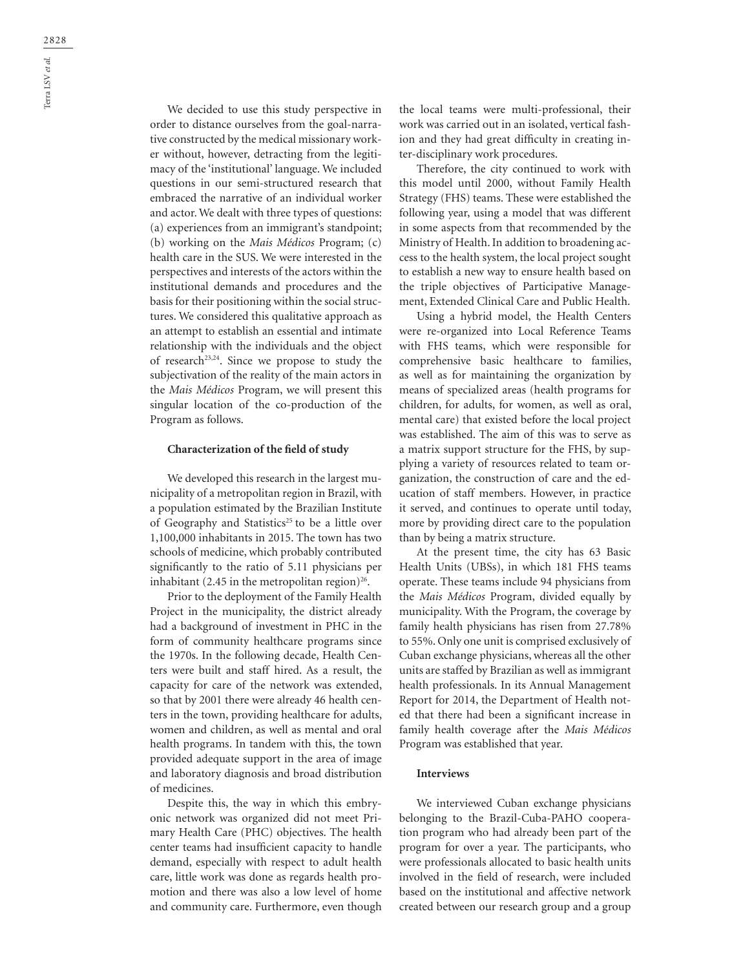We decided to use this study perspective in order to distance ourselves from the goal-narrative constructed by the medical missionary worker without, however, detracting from the legitimacy of the 'institutional' language. We included questions in our semi-structured research that embraced the narrative of an individual worker and actor. We dealt with three types of questions: (a) experiences from an immigrant's standpoint; (b) working on the *Mais Médicos* Program; (c) health care in the SUS. We were interested in the perspectives and interests of the actors within the institutional demands and procedures and the basis for their positioning within the social structures. We considered this qualitative approach as an attempt to establish an essential and intimate relationship with the individuals and the object of research<sup>23,24</sup>. Since we propose to study the subjectivation of the reality of the main actors in the *Mais Médicos* Program, we will present this singular location of the co-production of the Program as follows.

#### **Characterization of the field of study**

We developed this research in the largest municipality of a metropolitan region in Brazil, with a population estimated by the Brazilian Institute of Geography and Statistics<sup>25</sup> to be a little over 1,100,000 inhabitants in 2015. The town has two schools of medicine, which probably contributed significantly to the ratio of 5.11 physicians per inhabitant (2.45 in the metropolitan region)<sup>26</sup>.

Prior to the deployment of the Family Health Project in the municipality, the district already had a background of investment in PHC in the form of community healthcare programs since the 1970s. In the following decade, Health Centers were built and staff hired. As a result, the capacity for care of the network was extended, so that by 2001 there were already 46 health centers in the town, providing healthcare for adults, women and children, as well as mental and oral health programs. In tandem with this, the town provided adequate support in the area of image and laboratory diagnosis and broad distribution of medicines.

Despite this, the way in which this embryonic network was organized did not meet Primary Health Care (PHC) objectives. The health center teams had insufficient capacity to handle demand, especially with respect to adult health care, little work was done as regards health promotion and there was also a low level of home and community care. Furthermore, even though the local teams were multi-professional, their work was carried out in an isolated, vertical fashion and they had great difficulty in creating inter-disciplinary work procedures.

Therefore, the city continued to work with this model until 2000, without Family Health Strategy (FHS) teams. These were established the following year, using a model that was different in some aspects from that recommended by the Ministry of Health. In addition to broadening access to the health system, the local project sought to establish a new way to ensure health based on the triple objectives of Participative Management, Extended Clinical Care and Public Health.

Using a hybrid model, the Health Centers were re-organized into Local Reference Teams with FHS teams, which were responsible for comprehensive basic healthcare to families, as well as for maintaining the organization by means of specialized areas (health programs for children, for adults, for women, as well as oral, mental care) that existed before the local project was established. The aim of this was to serve as a matrix support structure for the FHS, by supplying a variety of resources related to team organization, the construction of care and the education of staff members. However, in practice it served, and continues to operate until today, more by providing direct care to the population than by being a matrix structure.

At the present time, the city has 63 Basic Health Units (UBSs), in which 181 FHS teams operate. These teams include 94 physicians from the *Mais Médicos* Program, divided equally by municipality. With the Program, the coverage by family health physicians has risen from 27.78% to 55%. Only one unit is comprised exclusively of Cuban exchange physicians, whereas all the other units are staffed by Brazilian as well as immigrant health professionals. In its Annual Management Report for 2014, the Department of Health noted that there had been a significant increase in family health coverage after the *Mais Médicos* Program was established that year.

#### **Interviews**

We interviewed Cuban exchange physicians belonging to the Brazil-Cuba-PAHO cooperation program who had already been part of the program for over a year. The participants, who were professionals allocated to basic health units involved in the field of research, were included based on the institutional and affective network created between our research group and a group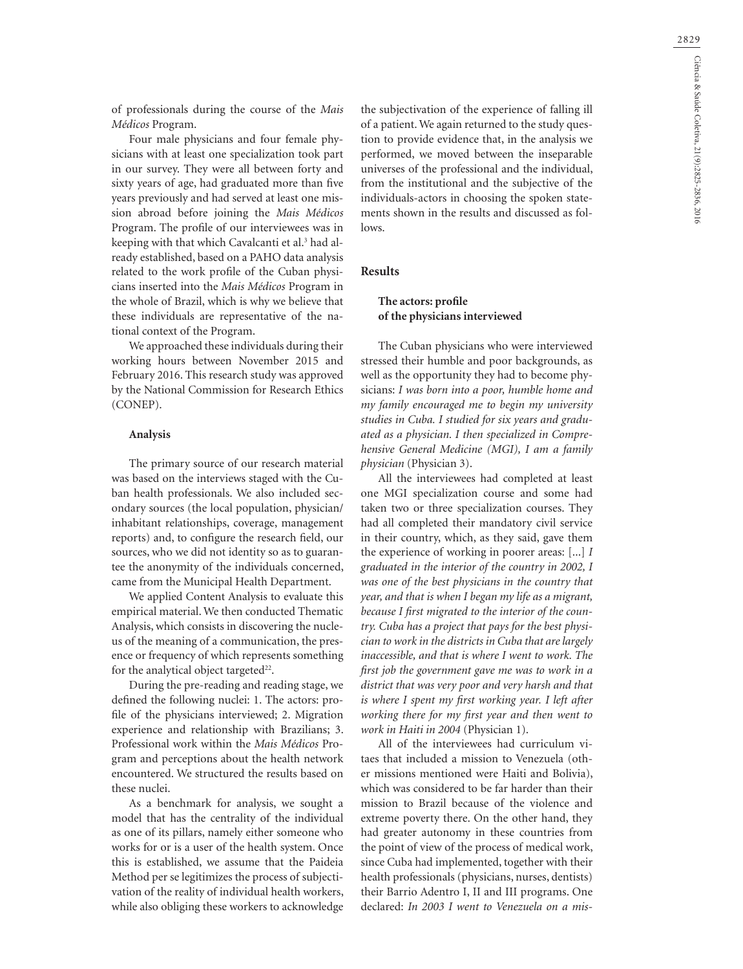of professionals during the course of the *Mais Médicos* Program.

Four male physicians and four female physicians with at least one specialization took part in our survey. They were all between forty and sixty years of age, had graduated more than five years previously and had served at least one mission abroad before joining the *Mais Médicos* Program. The profile of our interviewees was in keeping with that which Cavalcanti et al.<sup>3</sup> had already established, based on a PAHO data analysis related to the work profile of the Cuban physicians inserted into the *Mais Médicos* Program in the whole of Brazil, which is why we believe that these individuals are representative of the national context of the Program.

We approached these individuals during their working hours between November 2015 and February 2016. This research study was approved by the National Commission for Research Ethics (CONEP).

## **Analysis**

The primary source of our research material was based on the interviews staged with the Cuban health professionals. We also included secondary sources (the local population, physician/ inhabitant relationships, coverage, management reports) and, to configure the research field, our sources, who we did not identity so as to guarantee the anonymity of the individuals concerned, came from the Municipal Health Department.

We applied Content Analysis to evaluate this empirical material. We then conducted Thematic Analysis, which consists in discovering the nucleus of the meaning of a communication, the presence or frequency of which represents something for the analytical object targeted $22$ .

During the pre-reading and reading stage, we defined the following nuclei: 1. The actors: profile of the physicians interviewed; 2. Migration experience and relationship with Brazilians; 3. Professional work within the *Mais Médicos* Program and perceptions about the health network encountered. We structured the results based on these nuclei.

As a benchmark for analysis, we sought a model that has the centrality of the individual as one of its pillars, namely either someone who works for or is a user of the health system. Once this is established, we assume that the Paideia Method per se legitimizes the process of subjectivation of the reality of individual health workers, while also obliging these workers to acknowledge

the subjectivation of the experience of falling ill of a patient. We again returned to the study question to provide evidence that, in the analysis we performed, we moved between the inseparable universes of the professional and the individual, from the institutional and the subjective of the individuals-actors in choosing the spoken statements shown in the results and discussed as follows.

#### **Results**

## **The actors: profile of the physicians interviewed**

The Cuban physicians who were interviewed stressed their humble and poor backgrounds, as well as the opportunity they had to become physicians: *I was born into a poor, humble home and my family encouraged me to begin my university studies in Cuba. I studied for six years and graduated as a physician. I then specialized in Comprehensive General Medicine (MGI), I am a family physician* (Physician 3).

All the interviewees had completed at least one MGI specialization course and some had taken two or three specialization courses. They had all completed their mandatory civil service in their country, which, as they said, gave them the experience of working in poorer areas: [...] *I graduated in the interior of the country in 2002, I was one of the best physicians in the country that year, and that is when I began my life as a migrant, because I first migrated to the interior of the country. Cuba has a project that pays for the best physician to work in the districts in Cuba that are largely inaccessible, and that is where I went to work. The first job the government gave me was to work in a district that was very poor and very harsh and that is where I spent my first working year. I left after working there for my first year and then went to work in Haiti in 2004* (Physician 1).

All of the interviewees had curriculum vitaes that included a mission to Venezuela (other missions mentioned were Haiti and Bolivia), which was considered to be far harder than their mission to Brazil because of the violence and extreme poverty there. On the other hand, they had greater autonomy in these countries from the point of view of the process of medical work, since Cuba had implemented, together with their health professionals (physicians, nurses, dentists) their Barrio Adentro I, II and III programs. One declared: *In 2003 I went to Venezuela on a mis-*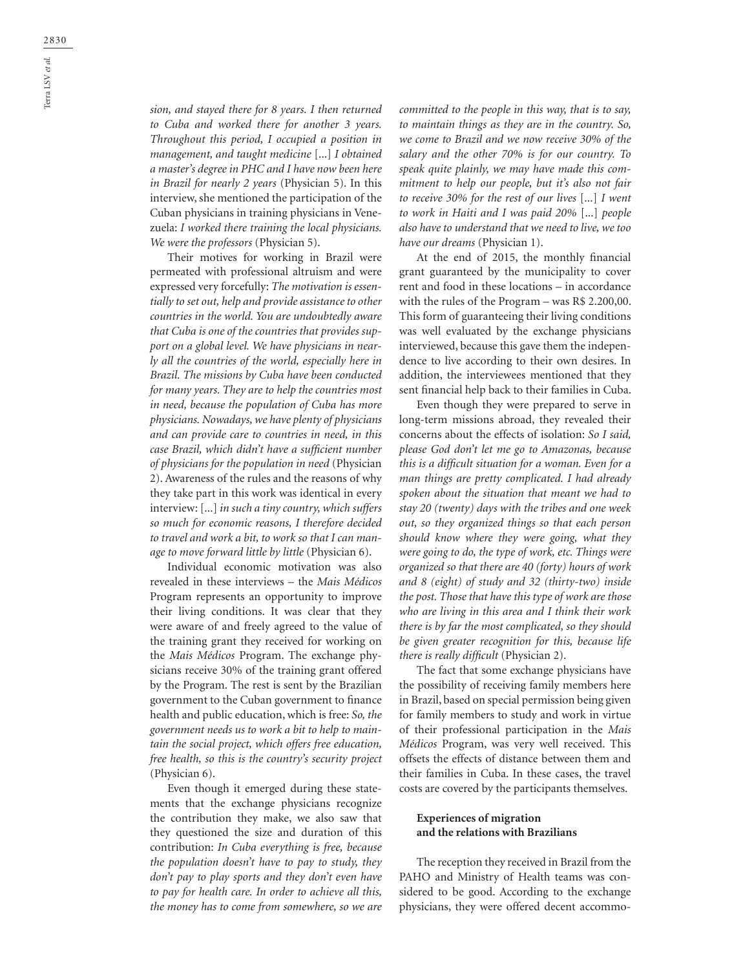*sion, and stayed there for 8 years. I then returned to Cuba and worked there for another 3 years. Throughout this period, I occupied a position in management, and taught medicine* [...] *I obtained a master's degree in PHC and I have now been here in Brazil for nearly 2 years* (Physician 5). In this interview, she mentioned the participation of the Cuban physicians in training physicians in Venezuela: *I worked there training the local physicians. We were the professors* (Physician 5).

Their motives for working in Brazil were permeated with professional altruism and were expressed very forcefully: *The motivation is essentially to set out, help and provide assistance to other countries in the world. You are undoubtedly aware that Cuba is one of the countries that provides support on a global level. We have physicians in nearly all the countries of the world, especially here in Brazil. The missions by Cuba have been conducted for many years. They are to help the countries most in need, because the population of Cuba has more physicians. Nowadays, we have plenty of physicians and can provide care to countries in need, in this case Brazil, which didn't have a sufficient number of physicians for the population in need* (Physician 2). Awareness of the rules and the reasons of why they take part in this work was identical in every interview: [...] *in such a tiny country, which suffers so much for economic reasons, I therefore decided to travel and work a bit, to work so that I can manage to move forward little by little* (Physician 6).

Individual economic motivation was also revealed in these interviews – the *Mais Médicos* Program represents an opportunity to improve their living conditions. It was clear that they were aware of and freely agreed to the value of the training grant they received for working on the *Mais Médicos* Program. The exchange physicians receive 30% of the training grant offered by the Program. The rest is sent by the Brazilian government to the Cuban government to finance health and public education, which is free: *So, the government needs us to work a bit to help to maintain the social project, which offers free education, free health, so this is the country's security project* (Physician 6).

Even though it emerged during these statements that the exchange physicians recognize the contribution they make, we also saw that they questioned the size and duration of this contribution: *In Cuba everything is free, because the population doesn't have to pay to study, they don't pay to play sports and they don't even have to pay for health care. In order to achieve all this, the money has to come from somewhere, so we are* 

*committed to the people in this way, that is to say, to maintain things as they are in the country. So, we come to Brazil and we now receive 30% of the salary and the other 70% is for our country. To speak quite plainly, we may have made this commitment to help our people, but it's also not fair to receive 30% for the rest of our lives* [...] *I went to work in Haiti and I was paid 20%* [...] *people also have to understand that we need to live, we too have our dreams* (Physician 1).

At the end of 2015, the monthly financial grant guaranteed by the municipality to cover rent and food in these locations – in accordance with the rules of the Program – was R\$ 2.200,00. This form of guaranteeing their living conditions was well evaluated by the exchange physicians interviewed, because this gave them the independence to live according to their own desires. In addition, the interviewees mentioned that they sent financial help back to their families in Cuba.

Even though they were prepared to serve in long-term missions abroad, they revealed their concerns about the effects of isolation: *So I said, please God don't let me go to Amazonas, because this is a difficult situation for a woman. Even for a man things are pretty complicated. I had already spoken about the situation that meant we had to stay 20 (twenty) days with the tribes and one week out, so they organized things so that each person should know where they were going, what they were going to do, the type of work, etc. Things were organized so that there are 40 (forty) hours of work and 8 (eight) of study and 32 (thirty-two) inside the post. Those that have this type of work are those who are living in this area and I think their work there is by far the most complicated, so they should be given greater recognition for this, because life there is really difficult* (Physician 2).

The fact that some exchange physicians have the possibility of receiving family members here in Brazil, based on special permission being given for family members to study and work in virtue of their professional participation in the *Mais Médicos* Program, was very well received. This offsets the effects of distance between them and their families in Cuba. In these cases, the travel costs are covered by the participants themselves.

## **Experiences of migration and the relations with Brazilians**

The reception they received in Brazil from the PAHO and Ministry of Health teams was considered to be good. According to the exchange physicians, they were offered decent accommo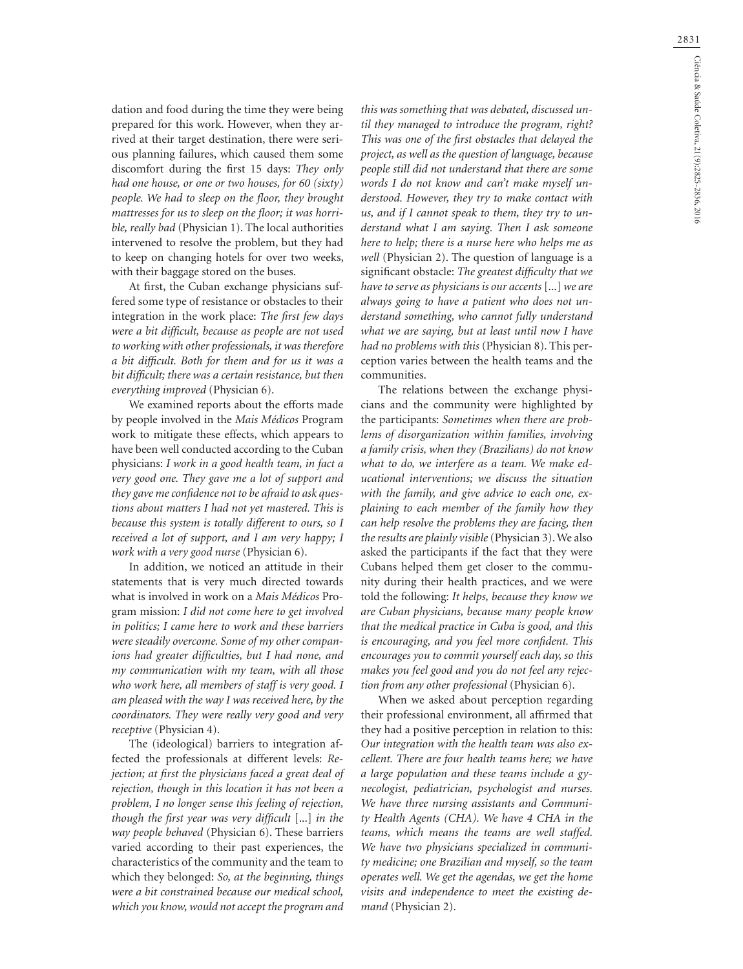dation and food during the time they were being prepared for this work. However, when they arrived at their target destination, there were serious planning failures, which caused them some discomfort during the first 15 days: *They only had one house, or one or two houses, for 60 (sixty) people. We had to sleep on the floor, they brought mattresses for us to sleep on the floor; it was horrible, really bad* (Physician 1). The local authorities intervened to resolve the problem, but they had to keep on changing hotels for over two weeks, with their baggage stored on the buses.

At first, the Cuban exchange physicians suffered some type of resistance or obstacles to their integration in the work place: *The first few days were a bit difficult, because as people are not used to working with other professionals, it was therefore a bit difficult. Both for them and for us it was a bit difficult; there was a certain resistance, but then everything improved* (Physician 6).

We examined reports about the efforts made by people involved in the *Mais Médicos* Program work to mitigate these effects, which appears to have been well conducted according to the Cuban physicians: *I work in a good health team, in fact a very good one. They gave me a lot of support and they gave me confidence not to be afraid to ask questions about matters I had not yet mastered. This is because this system is totally different to ours, so I received a lot of support, and I am very happy; I work with a very good nurse* (Physician 6).

In addition, we noticed an attitude in their statements that is very much directed towards what is involved in work on a *Mais Médicos* Program mission: *I did not come here to get involved in politics; I came here to work and these barriers were steadily overcome. Some of my other companions had greater difficulties, but I had none, and my communication with my team, with all those who work here, all members of staff is very good. I am pleased with the way I was received here, by the coordinators. They were really very good and very receptive* (Physician 4).

The (ideological) barriers to integration affected the professionals at different levels: *Rejection; at first the physicians faced a great deal of rejection, though in this location it has not been a problem, I no longer sense this feeling of rejection, though the first year was very difficult* [...] *in the way people behaved* (Physician 6). These barriers varied according to their past experiences, the characteristics of the community and the team to which they belonged: *So, at the beginning, things were a bit constrained because our medical school, which you know, would not accept the program and* 

*this was something that was debated, discussed until they managed to introduce the program, right? This was one of the first obstacles that delayed the project, as well as the question of language, because people still did not understand that there are some words I do not know and can't make myself understood. However, they try to make contact with us, and if I cannot speak to them, they try to understand what I am saying. Then I ask someone here to help; there is a nurse here who helps me as well* (Physician 2). The question of language is a significant obstacle: *The greatest difficulty that we have to serve as physicians is our accents* [...] *we are always going to have a patient who does not understand something, who cannot fully understand what we are saying, but at least until now I have had no problems with this* (Physician 8). This perception varies between the health teams and the communities.

The relations between the exchange physicians and the community were highlighted by the participants: *Sometimes when there are problems of disorganization within families, involving a family crisis, when they (Brazilians) do not know what to do, we interfere as a team. We make educational interventions; we discuss the situation with the family, and give advice to each one, explaining to each member of the family how they can help resolve the problems they are facing, then the results are plainly visible* (Physician 3). We also asked the participants if the fact that they were Cubans helped them get closer to the community during their health practices, and we were told the following: *It helps, because they know we are Cuban physicians, because many people know that the medical practice in Cuba is good, and this is encouraging, and you feel more confident. This encourages you to commit yourself each day, so this makes you feel good and you do not feel any rejection from any other professional* (Physician 6).

When we asked about perception regarding their professional environment, all affirmed that they had a positive perception in relation to this: *Our integration with the health team was also excellent. There are four health teams here; we have a large population and these teams include a gynecologist, pediatrician, psychologist and nurses. We have three nursing assistants and Community Health Agents (CHA). We have 4 CHA in the teams, which means the teams are well staffed. We have two physicians specialized in community medicine; one Brazilian and myself, so the team operates well. We get the agendas, we get the home visits and independence to meet the existing demand* (Physician 2).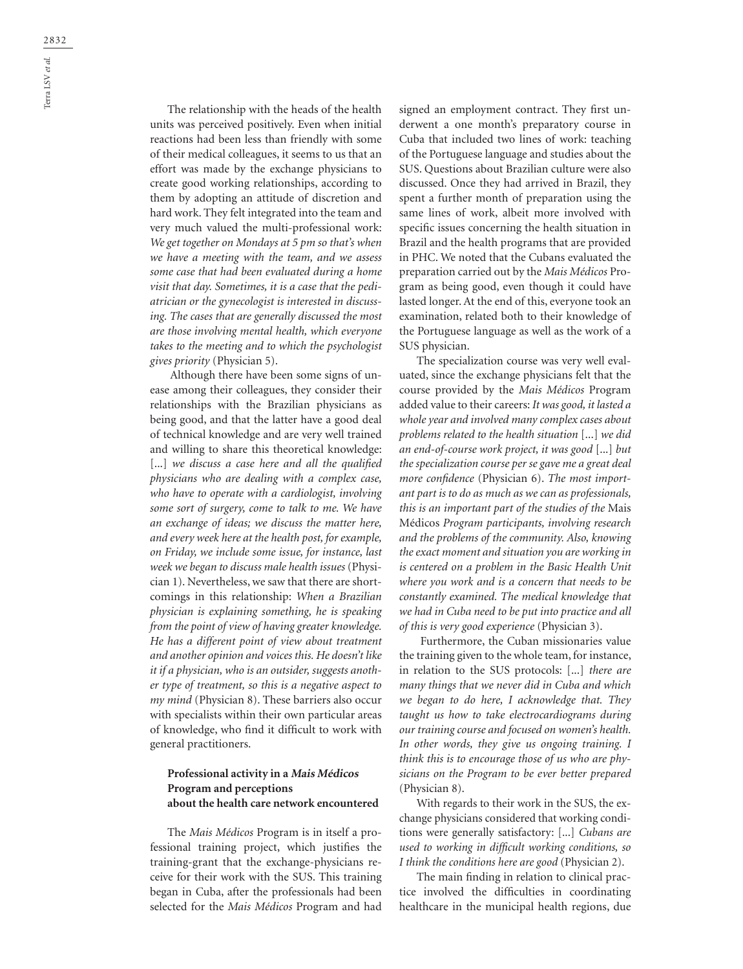The relationship with the heads of the health units was perceived positively. Even when initial reactions had been less than friendly with some of their medical colleagues, it seems to us that an effort was made by the exchange physicians to create good working relationships, according to them by adopting an attitude of discretion and hard work. They felt integrated into the team and very much valued the multi-professional work: *We get together on Mondays at 5 pm so that's when we have a meeting with the team, and we assess some case that had been evaluated during a home visit that day. Sometimes, it is a case that the pediatrician or the gynecologist is interested in discussing. The cases that are generally discussed the most are those involving mental health, which everyone takes to the meeting and to which the psychologist gives priority* (Physician 5).

 Although there have been some signs of unease among their colleagues, they consider their relationships with the Brazilian physicians as being good, and that the latter have a good deal of technical knowledge and are very well trained and willing to share this theoretical knowledge: [...] we discuss a case here and all the qualified *physicians who are dealing with a complex case, who have to operate with a cardiologist, involving some sort of surgery, come to talk to me. We have an exchange of ideas; we discuss the matter here, and every week here at the health post, for example, on Friday, we include some issue, for instance, last week we began to discuss male health issues* (Physician 1). Nevertheless, we saw that there are shortcomings in this relationship: *When a Brazilian physician is explaining something, he is speaking from the point of view of having greater knowledge. He has a different point of view about treatment and another opinion and voices this. He doesn't like it if a physician, who is an outsider, suggests another type of treatment, so this is a negative aspect to my mind* (Physician 8). These barriers also occur with specialists within their own particular areas of knowledge, who find it difficult to work with general practitioners.

# **Professional activity in a Mais Médicos Program and perceptions about the health care network encountered**

The *Mais Médicos* Program is in itself a professional training project, which justifies the training-grant that the exchange-physicians receive for their work with the SUS. This training began in Cuba, after the professionals had been selected for the *Mais Médicos* Program and had

signed an employment contract. They first underwent a one month's preparatory course in Cuba that included two lines of work: teaching of the Portuguese language and studies about the SUS. Questions about Brazilian culture were also discussed. Once they had arrived in Brazil, they spent a further month of preparation using the same lines of work, albeit more involved with specific issues concerning the health situation in Brazil and the health programs that are provided in PHC. We noted that the Cubans evaluated the preparation carried out by the *Mais Médicos* Program as being good, even though it could have lasted longer. At the end of this, everyone took an examination, related both to their knowledge of the Portuguese language as well as the work of a SUS physician.

The specialization course was very well evaluated, since the exchange physicians felt that the course provided by the *Mais Médicos* Program added value to their careers: *It was good, it lasted a whole year and involved many complex cases about problems related to the health situation* [...] *we did an end-of-course work project, it was good* [...] *but the specialization course per se gave me a great deal more confidence* (Physician 6). *The most important part is to do as much as we can as professionals, this is an important part of the studies of the* Mais Médicos *Program participants, involving research and the problems of the community. Also, knowing the exact moment and situation you are working in is centered on a problem in the Basic Health Unit where you work and is a concern that needs to be constantly examined. The medical knowledge that we had in Cuba need to be put into practice and all of this is very good experience* (Physician 3).

 Furthermore, the Cuban missionaries value the training given to the whole team, for instance, in relation to the SUS protocols: [...] *there are many things that we never did in Cuba and which we began to do here, I acknowledge that. They taught us how to take electrocardiograms during our training course and focused on women's health. In other words, they give us ongoing training. I think this is to encourage those of us who are physicians on the Program to be ever better prepared* (Physician 8).

With regards to their work in the SUS, the exchange physicians considered that working conditions were generally satisfactory: [...] *Cubans are used to working in difficult working conditions, so I think the conditions here are good* (Physician 2).

The main finding in relation to clinical practice involved the difficulties in coordinating healthcare in the municipal health regions, due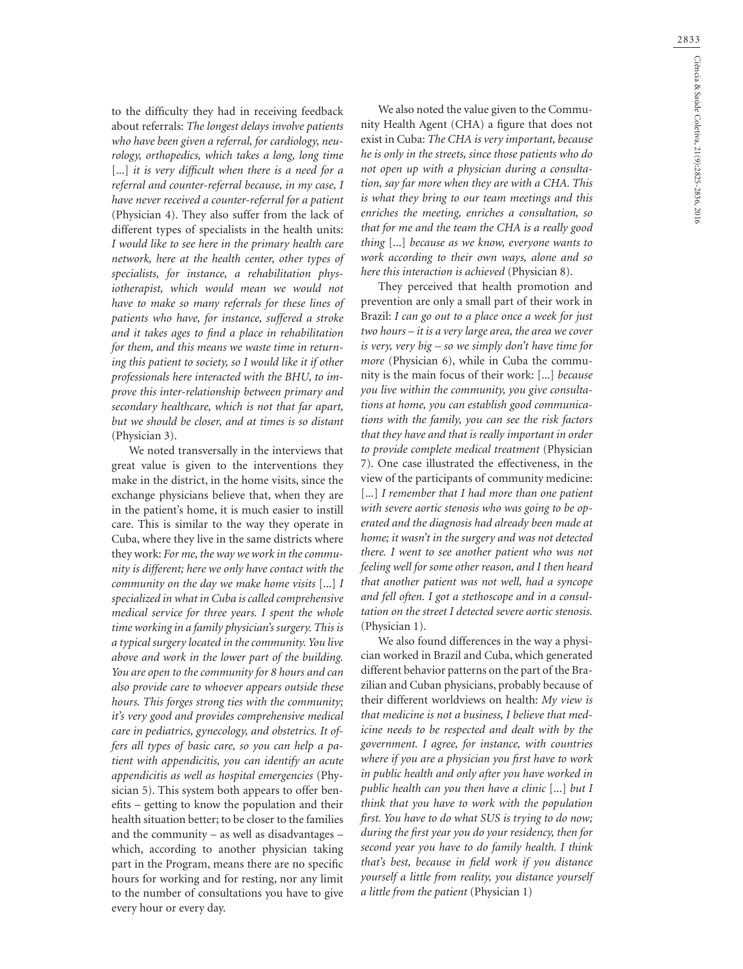2833

to the difficulty they had in receiving feedback about referrals: *The longest delays involve patients who have been given a referral, for cardiology, neurology, orthopedics, which takes a long, long time* [...] *it is very difficult when there is a need for a referral and counter-referral because, in my case, I have never received a counter-referral for a patient* (Physician 4). They also suffer from the lack of different types of specialists in the health units: *I would like to see here in the primary health care network, here at the health center, other types of specialists, for instance, a rehabilitation physiotherapist, which would mean we would not have to make so many referrals for these lines of patients who have, for instance, suffered a stroke and it takes ages to find a place in rehabilitation for them, and this means we waste time in return*ing this patient to society, so I would like it if other *professionals here interacted with the BHU, to improve this inter-relationship between primary and secondary healthcare, which is not that far apart, but we should be closer, and at times is so distant* (Physician 3).

We noted transversally in the interviews that great value is given to the interventions they make in the district, in the home visits, since the exchange physicians believe that, when they are in the patient's home, it is much easier to instill care. This is similar to the way they operate in Cuba, where they live in the same districts where they work: *For me, the way we work in the community is different; here we only have contact with the community on the day we make home visits* [...] *I specialized in what in Cuba is called comprehensive medical service for three years. I spent the whole time working in a family physician's surgery. This is a typical surgery located in the community. You live above and work in the lower part of the building. You are open to the community for 8 hours and can also provide care to whoever appears outside these hours. This forges strong ties with the community; it's very good and provides comprehensive medical care in pediatrics, gynecology, and obstetrics. It offers all types of basic care, so you can help a patient with appendicitis, you can identify an acute appendicitis as well as hospital emergencies* (Physician 5). This system both appears to offer benefits – getting to know the population and their health situation better; to be closer to the families and the community – as well as disadvantages – which, according to another physician taking part in the Program, means there are no specific hours for working and for resting, nor any limit to the number of consultations you have to give every hour or every day.

We also noted the value given to the Community Health Agent (CHA) a figure that does not exist in Cuba: *The CHA is very important, because he is only in the streets, since those patients who do not open up with a physician during a consultation, say far more when they are with a CHA. This is what they bring to our team meetings and this enriches the meeting, enriches a consultation, so that for me and the team the CHA is a really good thing* [...] *because as we know, everyone wants to work according to their own ways, alone and so here this interaction is achieved* (Physician 8).

They perceived that health promotion and prevention are only a small part of their work in Brazil: *I can go out to a place once a week for just two hours – it is a very large area, the area we cover is very, very big – so we simply don't have time for more* (Physician 6), while in Cuba the community is the main focus of their work: [...] *because you live within the community, you give consultations at home, you can establish good communications with the family, you can see the risk factors that they have and that is really important in order to provide complete medical treatment* (Physician 7). One case illustrated the effectiveness, in the view of the participants of community medicine: [...] *I remember that I had more than one patient with severe aortic stenosis who was going to be operated and the diagnosis had already been made at home; it wasn't in the surgery and was not detected there. I went to see another patient who was not feeling well for some other reason, and I then heard that another patient was not well, had a syncope and fell often. I got a stethoscope and in a consultation on the street I detected severe aortic stenosis.* (Physician 1).

We also found differences in the way a physician worked in Brazil and Cuba, which generated different behavior patterns on the part of the Brazilian and Cuban physicians, probably because of their different worldviews on health: *My view is that medicine is not a business, I believe that medicine needs to be respected and dealt with by the government. I agree, for instance, with countries where if you are a physician you first have to work in public health and only after you have worked in public health can you then have a clinic* [...] *but I think that you have to work with the population first. You have to do what SUS is trying to do now; during the first year you do your residency, then for second year you have to do family health. I think that's best, because in field work if you distance yourself a little from reality, you distance yourself a little from the patient* (Physician 1)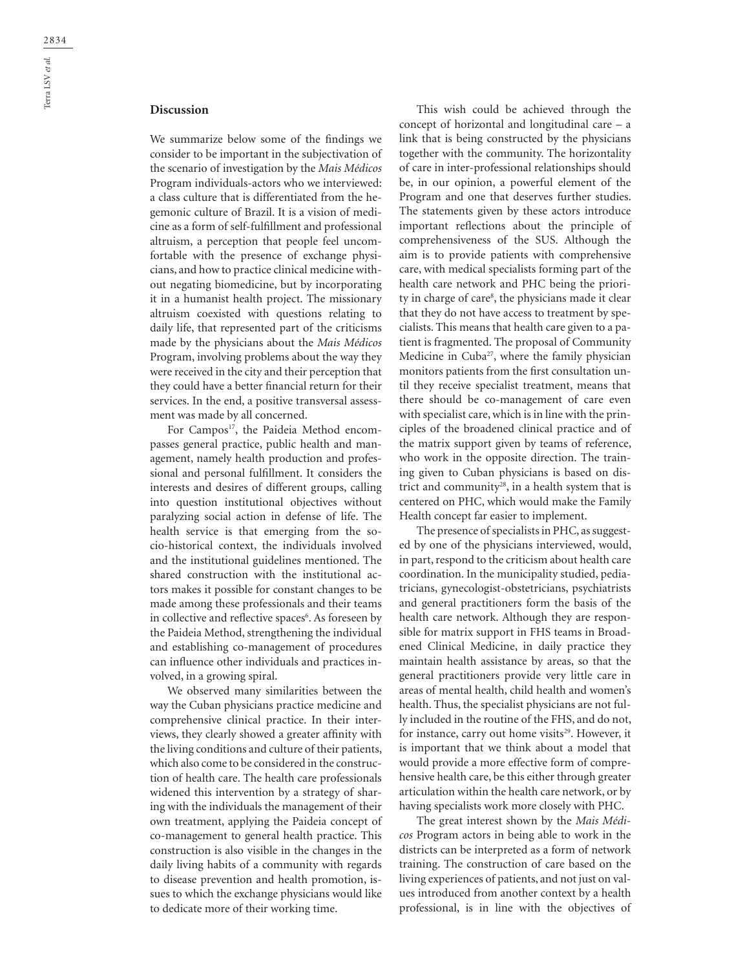We summarize below some of the findings we consider to be important in the subjectivation of the scenario of investigation by the *Mais Médicos* Program individuals-actors who we interviewed: a class culture that is differentiated from the hegemonic culture of Brazil. It is a vision of medicine as a form of self-fulfillment and professional altruism, a perception that people feel uncomfortable with the presence of exchange physicians, and how to practice clinical medicine without negating biomedicine, but by incorporating it in a humanist health project. The missionary altruism coexisted with questions relating to daily life, that represented part of the criticisms made by the physicians about the *Mais Médicos* Program, involving problems about the way they were received in the city and their perception that they could have a better financial return for their services. In the end, a positive transversal assessment was made by all concerned.

For Campos<sup>17</sup>, the Paideia Method encompasses general practice, public health and management, namely health production and professional and personal fulfillment. It considers the interests and desires of different groups, calling into question institutional objectives without paralyzing social action in defense of life. The health service is that emerging from the socio-historical context, the individuals involved and the institutional guidelines mentioned. The shared construction with the institutional actors makes it possible for constant changes to be made among these professionals and their teams in collective and reflective spaces<sup>6</sup>. As foreseen by the Paideia Method, strengthening the individual and establishing co-management of procedures can influence other individuals and practices involved, in a growing spiral.

We observed many similarities between the way the Cuban physicians practice medicine and comprehensive clinical practice. In their interviews, they clearly showed a greater affinity with the living conditions and culture of their patients, which also come to be considered in the construction of health care. The health care professionals widened this intervention by a strategy of sharing with the individuals the management of their own treatment, applying the Paideia concept of co-management to general health practice. This construction is also visible in the changes in the daily living habits of a community with regards to disease prevention and health promotion, issues to which the exchange physicians would like to dedicate more of their working time.

This wish could be achieved through the concept of horizontal and longitudinal care – a link that is being constructed by the physicians together with the community. The horizontality of care in inter-professional relationships should be, in our opinion, a powerful element of the Program and one that deserves further studies. The statements given by these actors introduce important reflections about the principle of comprehensiveness of the SUS. Although the aim is to provide patients with comprehensive care, with medical specialists forming part of the health care network and PHC being the priority in charge of care8 , the physicians made it clear that they do not have access to treatment by specialists. This means that health care given to a patient is fragmented. The proposal of Community Medicine in Cuba<sup>27</sup>, where the family physician monitors patients from the first consultation until they receive specialist treatment, means that there should be co-management of care even with specialist care, which is in line with the principles of the broadened clinical practice and of the matrix support given by teams of reference, who work in the opposite direction. The training given to Cuban physicians is based on district and community<sup>28</sup>, in a health system that is centered on PHC, which would make the Family Health concept far easier to implement.

The presence of specialists in PHC, as suggested by one of the physicians interviewed, would, in part, respond to the criticism about health care coordination. In the municipality studied, pediatricians, gynecologist-obstetricians, psychiatrists and general practitioners form the basis of the health care network. Although they are responsible for matrix support in FHS teams in Broadened Clinical Medicine, in daily practice they maintain health assistance by areas, so that the general practitioners provide very little care in areas of mental health, child health and women's health. Thus, the specialist physicians are not fully included in the routine of the FHS, and do not, for instance, carry out home visits<sup>29</sup>. However, it is important that we think about a model that would provide a more effective form of comprehensive health care, be this either through greater articulation within the health care network, or by having specialists work more closely with PHC.

The great interest shown by the *Mais Médicos* Program actors in being able to work in the districts can be interpreted as a form of network training. The construction of care based on the living experiences of patients, and not just on values introduced from another context by a health professional, is in line with the objectives of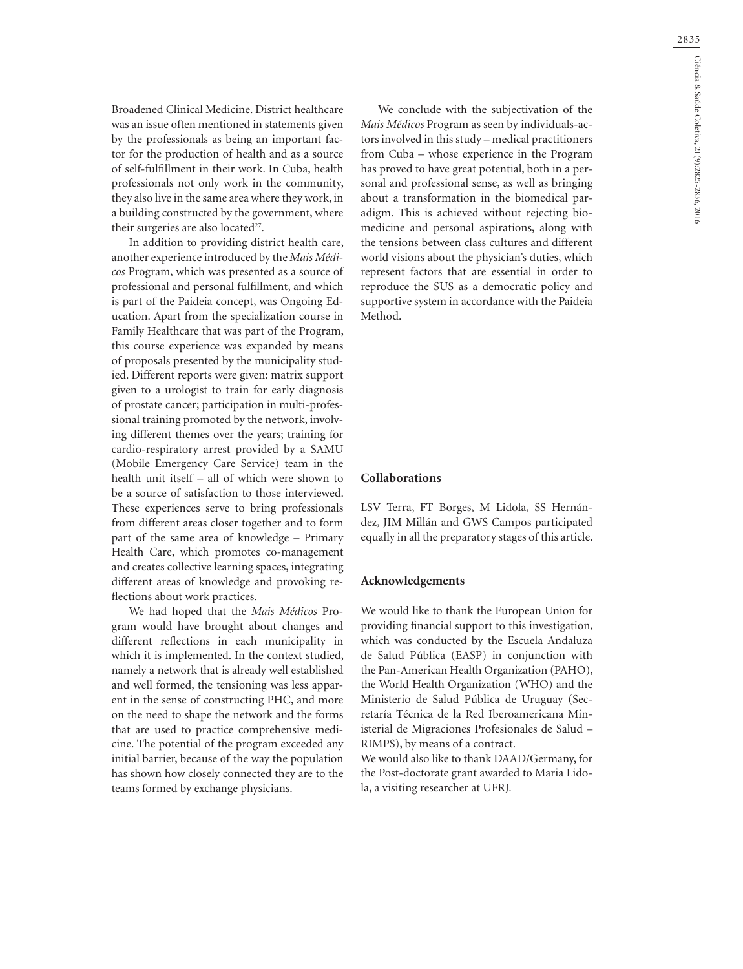Broadened Clinical Medicine. District healthcare was an issue often mentioned in statements given by the professionals as being an important factor for the production of health and as a source of self-fulfillment in their work. In Cuba, health professionals not only work in the community, they also live in the same area where they work, in a building constructed by the government, where their surgeries are also located<sup>27</sup>.

In addition to providing district health care, another experience introduced by the *Mais Médicos* Program, which was presented as a source of professional and personal fulfillment, and which is part of the Paideia concept, was Ongoing Education. Apart from the specialization course in Family Healthcare that was part of the Program, this course experience was expanded by means of proposals presented by the municipality studied. Different reports were given: matrix support given to a urologist to train for early diagnosis of prostate cancer; participation in multi-professional training promoted by the network, involving different themes over the years; training for cardio-respiratory arrest provided by a SAMU (Mobile Emergency Care Service) team in the health unit itself – all of which were shown to be a source of satisfaction to those interviewed. These experiences serve to bring professionals from different areas closer together and to form part of the same area of knowledge – Primary Health Care, which promotes co-management and creates collective learning spaces, integrating different areas of knowledge and provoking reflections about work practices.

We had hoped that the *Mais Médicos* Program would have brought about changes and different reflections in each municipality in which it is implemented. In the context studied, namely a network that is already well established and well formed, the tensioning was less apparent in the sense of constructing PHC, and more on the need to shape the network and the forms that are used to practice comprehensive medicine. The potential of the program exceeded any initial barrier, because of the way the population has shown how closely connected they are to the teams formed by exchange physicians.

We conclude with the subjectivation of the *Mais Médicos* Program as seen by individuals-actors involved in this study – medical practitioners from Cuba – whose experience in the Program has proved to have great potential, both in a personal and professional sense, as well as bringing about a transformation in the biomedical paradigm. This is achieved without rejecting biomedicine and personal aspirations, along with the tensions between class cultures and different world visions about the physician's duties, which represent factors that are essential in order to reproduce the SUS as a democratic policy and supportive system in accordance with the Paideia Method.

## **Collaborations**

LSV Terra, FT Borges, M Lidola, SS Hernández, JIM Millán and GWS Campos participated equally in all the preparatory stages of this article.

#### **Acknowledgements**

We would like to thank the European Union for providing financial support to this investigation, which was conducted by the Escuela Andaluza de Salud Pública (EASP) in conjunction with the Pan-American Health Organization (PAHO), the World Health Organization (WHO) and the Ministerio de Salud Pública de Uruguay (Secretaría Técnica de la Red Iberoamericana Ministerial de Migraciones Profesionales de Salud – RIMPS), by means of a contract.

We would also like to thank DAAD/Germany, for the Post-doctorate grant awarded to Maria Lidola, a visiting researcher at UFRJ.